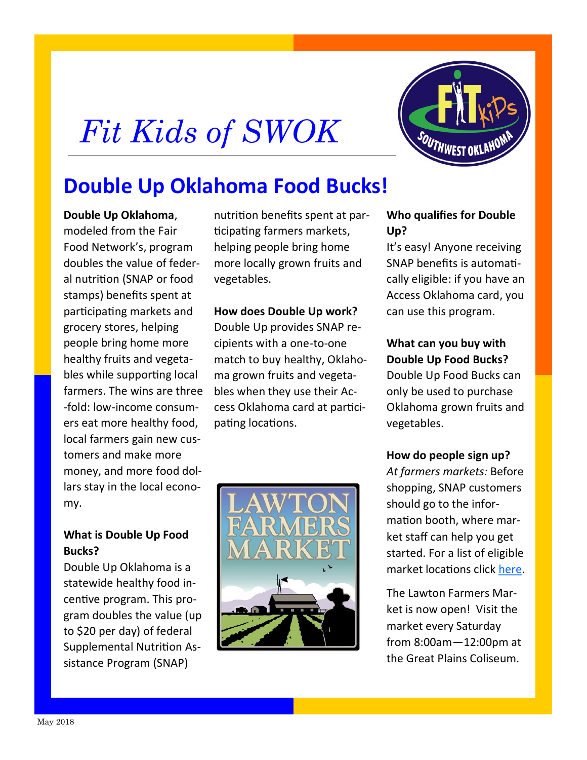# *Fit Kids of SWOK*



# **Double Up Oklahoma Food Bucks!**

**Double Up Oklahoma**, modeled from the Fair Food Network's, program doubles the value of federal nutrition (SNAP or food stamps) benefits spent at participating markets and grocery stores, helping people bring home more healthy fruits and vegetables while supporting local farmers. The wins are three -fold: low-income consumers eat more healthy food, local farmers gain new customers and make more money, and more food dollars stay in the local economy.

### **What is Double Up Food Bucks?**

Double Up Oklahoma is a statewide healthy food incentive program. This program doubles the value (up to \$20 per day) of federal Supplemental Nutrition Assistance Program (SNAP)

nutrition benefits spent at participating farmers markets, helping people bring home more locally grown fruits and vegetables.

#### **How does Double Up work?**

Double Up provides SNAP recipients with a one-to-one match to buy healthy, Oklahoma grown fruits and vegetables when they use their Access Oklahoma card at participating locations.



#### **Who qualifies for Double Up?**

It's easy! Anyone receiving SNAP benefits is automatically eligible: if you have an Access Oklahoma card, you can use this program.

## **What can you buy with Double Up Food Bucks?**

Double Up Food Bucks can only be used to purchase Oklahoma grown fruits and vegetables.

### **How do people sign up?**

*At farmers markets:* Before shopping, SNAP customers should go to the information booth, where market staff can help you get started. For a list of eligible market locations click [here.](https://www.doubleupoklahoma.org/market-locations)

The Lawton Farmers Market is now open! Visit the market every Saturday from 8:00am—12:00pm at the Great Plains Coliseum.